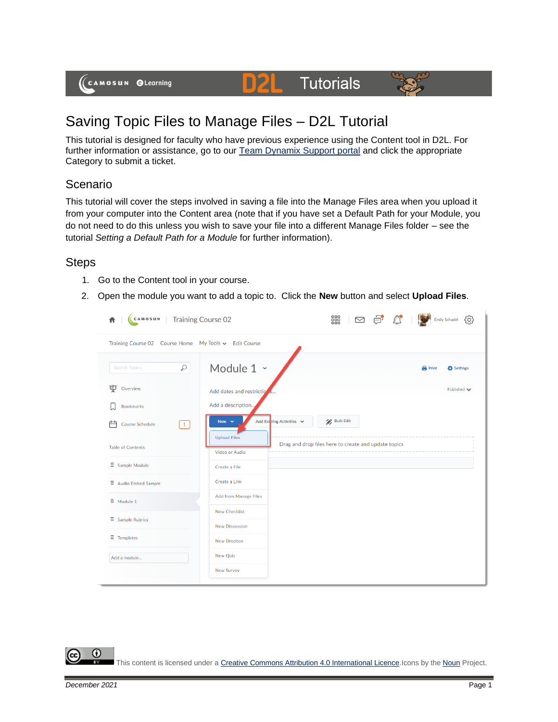(CAMOSUN @Learning

# Saving Topic Files to Manage Files – D2L Tutorial

This tutorial is designed for faculty who have previous experience using the Content tool in D2L. For further information or assistance, go to our [Team Dynamix Support portal](https://camosun.teamdynamix.com/TDClient/67/Portal/Requests/ServiceCatalog?CategoryID=523) and click the appropriate Category to submit a ticket.

DŽ

**Tutorials** 

# Scenario

This tutorial will cover the steps involved in saving a file into the Manage Files area when you upload it from your computer into the Content area (note that if you have set a Default Path for your Module, you do not need to do this unless you wish to save your file into a different Manage Files folder – see the tutorial *Setting a Default Path for a Module* for further information).

### **Steps**

- 1. Go to the Content tool in your course.
- 2. Open the module you want to add a topic to. Click the **New** button and select **Upload Files**.

| <b>Training Course 02</b><br>CAMOSUN<br>青                 |                                        | 嘂<br>¢.<br>$\mathbb{C}$<br>$\triangleright$          | ද්ථූ<br><b>Emily Schudel</b> |
|-----------------------------------------------------------|----------------------------------------|------------------------------------------------------|------------------------------|
| Training Course 02 Course Home My Tools v Edit Course     |                                        |                                                      |                              |
| Q<br><b>Search Topics</b>                                 | Module 1 v                             |                                                      | <b>Print</b><br>Settings     |
| 孠<br>Overview                                             | Add dates and restrictio               |                                                      | Published $\smile$           |
| <b>Bookmarks</b>                                          | Add a description                      |                                                      |                              |
| $\begin{array}{c} \square \end{array}$<br>Course Schedule | Add Exiting Activities v<br>New $\vee$ | Bulk Edit                                            |                              |
| <b>Table of Contents</b>                                  | <b>Upload Files</b><br>Video or Audio  | Drag and drop files here to create and update topics |                              |
| $\equiv$ Sample Module                                    | Create a File                          |                                                      |                              |
| $\Xi$ Audio Embed Sample                                  | Create a Link                          |                                                      |                              |
| $\equiv$ Module 1                                         | Add from Manage Files                  |                                                      |                              |
| $\equiv$ Sample Rubrics                                   | <b>New Checklist</b>                   |                                                      |                              |
|                                                           | <b>New Discussion</b>                  |                                                      |                              |
| $\equiv$ Templates                                        | New Dropbox                            |                                                      |                              |
| Add a module                                              | <b>New Quiz</b>                        |                                                      |                              |
|                                                           | <b>New Survey</b>                      |                                                      |                              |

#### This content is licensed under [a Creative Commons Attribution 4.0 International Licence.I](https://creativecommons.org/licenses/by/4.0/)cons by the [Noun](https://creativecommons.org/website-icons/) Project.

⋒

 $\mathbf{A}$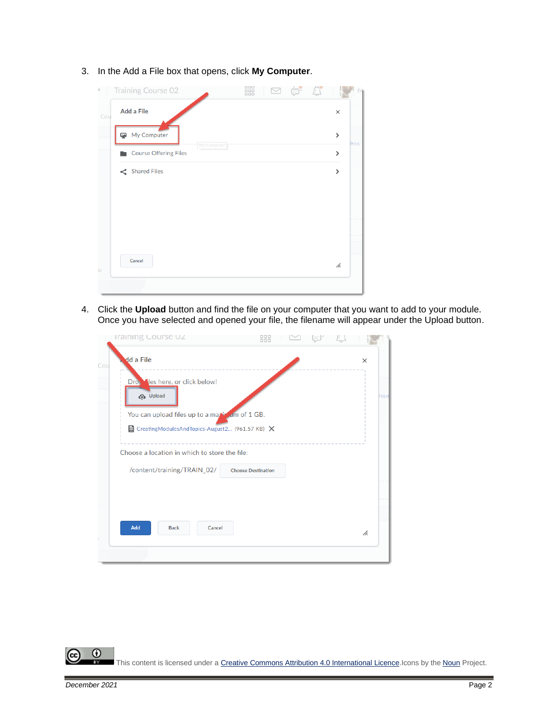3. In the Add a File box that opens, click **My Computer**.



4. Click the **Upload** button and find the file on your computer that you want to add to your module. Once you have selected and opened your file, the filename will appear under the Upload button.

|     | <b>Iraining Course UZ</b>                                            | 888                       |  |      |
|-----|----------------------------------------------------------------------|---------------------------|--|------|
| Cou | dd a File                                                            |                           |  | ×    |
|     | Drop les here, or click below!<br><b>P</b> Upload                    |                           |  | Prin |
|     | You can upload files up to a maximum of 1 GB.                        |                           |  |      |
|     | $\blacksquare$ CreatingModulesAndTopics-August2 (961.57 KB) $\times$ |                           |  |      |
|     | Choose a location in which to store the file:                        |                           |  |      |
|     | /content/training/TRAIN_02/                                          | <b>Choose Destination</b> |  |      |
|     |                                                                      |                           |  |      |
|     |                                                                      |                           |  |      |
|     |                                                                      |                           |  |      |
|     | Add<br>Cancel<br><b>Back</b>                                         |                           |  | h.   |
|     |                                                                      |                           |  |      |
|     |                                                                      |                           |  |      |

 $\odot$ (cc This content is licensed under [a Creative Commons Attribution 4.0 International Licence.I](https://creativecommons.org/licenses/by/4.0/)cons by the [Noun](https://creativecommons.org/website-icons/) Project.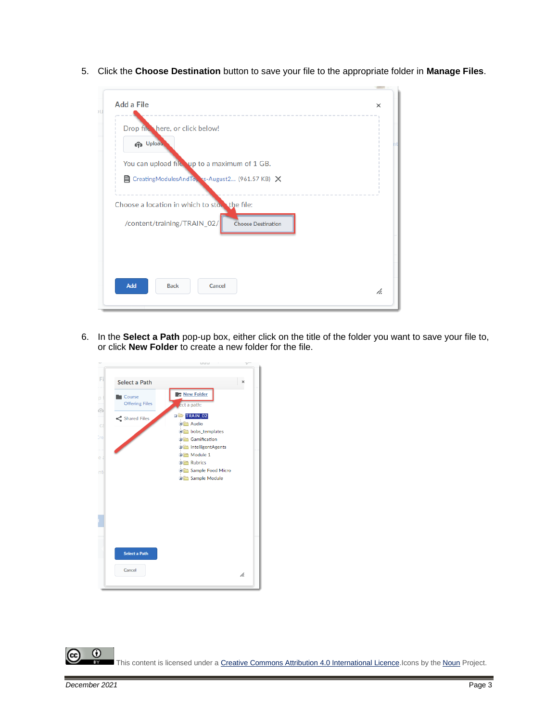5. Click the **Choose Destination** button to save your file to the appropriate folder in **Manage Files**.

| Drop file here, or click below!                                      |  |
|----------------------------------------------------------------------|--|
| <b>PD</b> Upload                                                     |  |
| You can upload file up to a maximum of 1 GB.                         |  |
| $\blacksquare$ CreatingModulesAndTop ss-August2 (961.57 KB) $\times$ |  |
| Choose a location in which to sto. the file:                         |  |
| /content/training/TRAIN_02/<br><b>Choose Destination</b>             |  |
|                                                                      |  |
|                                                                      |  |
|                                                                      |  |

6. In the **Select a Path** pop-up box, either click on the title of the folder you want to save your file to, or click **New Folder** to create a new folder for the file.



 $\odot$ r. This content is licensed under [a Creative Commons Attribution 4.0 International Licence.I](https://creativecommons.org/licenses/by/4.0/)cons by the [Noun](https://creativecommons.org/website-icons/) Project.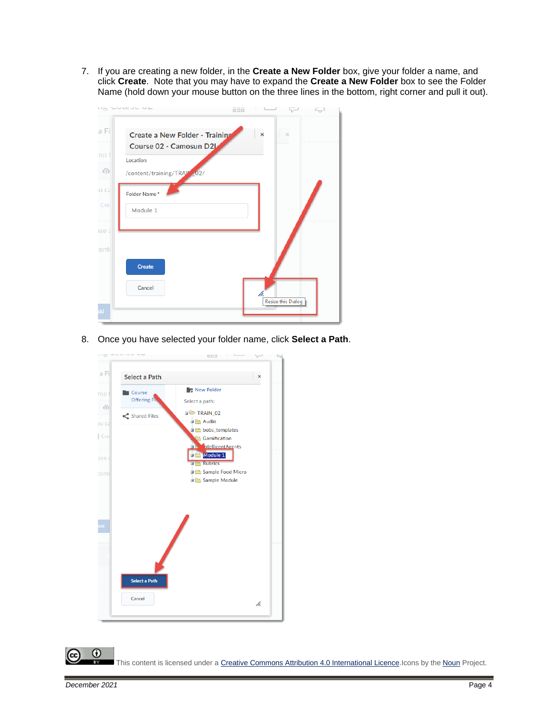7. If you are creating a new folder, in the **Create a New Folder** box, give your folder a name, and click **Create**. Note that you may have to expand the **Create a New Folder** box to see the Folder Name (hold down your mouse button on the three lines in the bottom, right corner and pull it out).



8. Once you have selected your folder name, click **Select a Path**.



This content is licensed under [a Creative Commons Attribution 4.0 International Licence.I](https://creativecommons.org/licenses/by/4.0/)cons by the [Noun](https://creativecommons.org/website-icons/) Project.

0